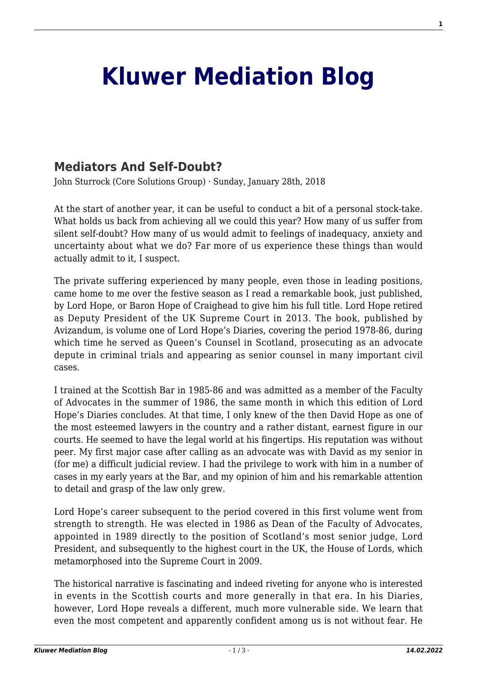## **[Kluwer Mediation Blog](http://mediationblog.kluwerarbitration.com/)**

## **[Mediators And Self-Doubt?](http://mediationblog.kluwerarbitration.com/2018/01/28/mediators-self-doubt/)**

John Sturrock (Core Solutions Group) · Sunday, January 28th, 2018

At the start of another year, it can be useful to conduct a bit of a personal stock-take. What holds us back from achieving all we could this year? How many of us suffer from silent self-doubt? How many of us would admit to feelings of inadequacy, anxiety and uncertainty about what we do? Far more of us experience these things than would actually admit to it, I suspect.

The private suffering experienced by many people, even those in leading positions, came home to me over the festive season as I read a remarkable book, just published, by Lord Hope, or Baron Hope of Craighead to give him his full title. Lord Hope retired as Deputy President of the UK Supreme Court in 2013. The book, published by Avizandum, is volume one of Lord Hope's Diaries, covering the period 1978-86, during which time he served as Queen's Counsel in Scotland, prosecuting as an advocate depute in criminal trials and appearing as senior counsel in many important civil cases.

I trained at the Scottish Bar in 1985-86 and was admitted as a member of the Faculty of Advocates in the summer of 1986, the same month in which this edition of Lord Hope's Diaries concludes. At that time, I only knew of the then David Hope as one of the most esteemed lawyers in the country and a rather distant, earnest figure in our courts. He seemed to have the legal world at his fingertips. His reputation was without peer. My first major case after calling as an advocate was with David as my senior in (for me) a difficult judicial review. I had the privilege to work with him in a number of cases in my early years at the Bar, and my opinion of him and his remarkable attention to detail and grasp of the law only grew.

Lord Hope's career subsequent to the period covered in this first volume went from strength to strength. He was elected in 1986 as Dean of the Faculty of Advocates, appointed in 1989 directly to the position of Scotland's most senior judge, Lord President, and subsequently to the highest court in the UK, the House of Lords, which metamorphosed into the Supreme Court in 2009.

The historical narrative is fascinating and indeed riveting for anyone who is interested in events in the Scottish courts and more generally in that era. In his Diaries, however, Lord Hope reveals a different, much more vulnerable side. We learn that even the most competent and apparently confident among us is not without fear. He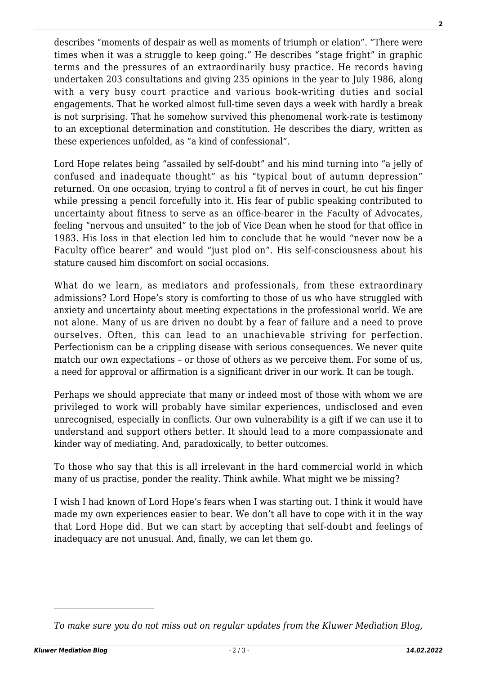describes "moments of despair as well as moments of triumph or elation". "There were times when it was a struggle to keep going." He describes "stage fright" in graphic terms and the pressures of an extraordinarily busy practice. He records having undertaken 203 consultations and giving 235 opinions in the year to July 1986, along with a very busy court practice and various book-writing duties and social engagements. That he worked almost full-time seven days a week with hardly a break is not surprising. That he somehow survived this phenomenal work-rate is testimony to an exceptional determination and constitution. He describes the diary, written as these experiences unfolded, as "a kind of confessional".

Lord Hope relates being "assailed by self-doubt" and his mind turning into "a jelly of confused and inadequate thought" as his "typical bout of autumn depression" returned. On one occasion, trying to control a fit of nerves in court, he cut his finger while pressing a pencil forcefully into it. His fear of public speaking contributed to uncertainty about fitness to serve as an office-bearer in the Faculty of Advocates, feeling "nervous and unsuited" to the job of Vice Dean when he stood for that office in 1983. His loss in that election led him to conclude that he would "never now be a Faculty office bearer" and would "just plod on". His self-consciousness about his stature caused him discomfort on social occasions.

What do we learn, as mediators and professionals, from these extraordinary admissions? Lord Hope's story is comforting to those of us who have struggled with anxiety and uncertainty about meeting expectations in the professional world. We are not alone. Many of us are driven no doubt by a fear of failure and a need to prove ourselves. Often, this can lead to an unachievable striving for perfection. Perfectionism can be a crippling disease with serious consequences. We never quite match our own expectations – or those of others as we perceive them. For some of us, a need for approval or affirmation is a significant driver in our work. It can be tough.

Perhaps we should appreciate that many or indeed most of those with whom we are privileged to work will probably have similar experiences, undisclosed and even unrecognised, especially in conflicts. Our own vulnerability is a gift if we can use it to understand and support others better. It should lead to a more compassionate and kinder way of mediating. And, paradoxically, to better outcomes.

To those who say that this is all irrelevant in the hard commercial world in which many of us practise, ponder the reality. Think awhile. What might we be missing?

I wish I had known of Lord Hope's fears when I was starting out. I think it would have made my own experiences easier to bear. We don't all have to cope with it in the way that Lord Hope did. But we can start by accepting that self-doubt and feelings of inadequacy are not unusual. And, finally, we can let them go.

*To make sure you do not miss out on regular updates from the Kluwer Mediation Blog,*